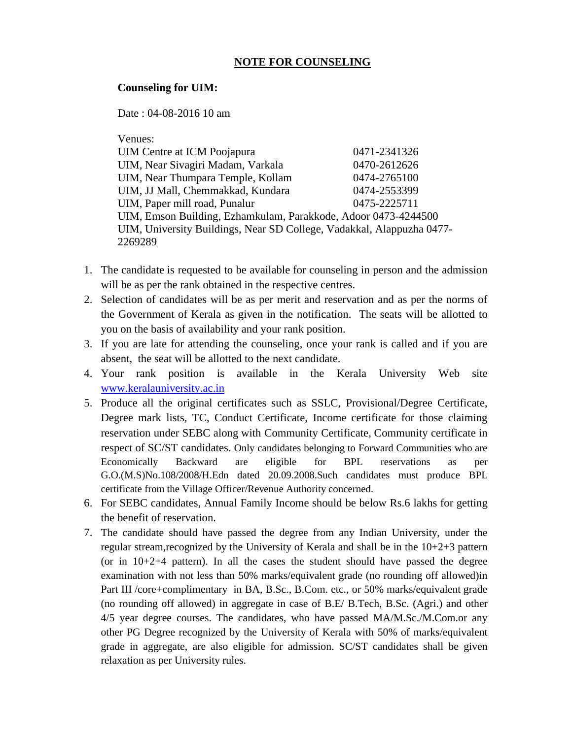## **NOTE FOR COUNSELING**

## **Counseling for UIM:**

Date : 04-08-2016 10 am

| Venues:                                                               |              |
|-----------------------------------------------------------------------|--------------|
| UIM Centre at ICM Poojapura                                           | 0471-2341326 |
| UIM, Near Sivagiri Madam, Varkala                                     | 0470-2612626 |
| UIM, Near Thumpara Temple, Kollam                                     | 0474-2765100 |
| UIM, JJ Mall, Chemmakkad, Kundara                                     | 0474-2553399 |
| UIM, Paper mill road, Punalur                                         | 0475-2225711 |
| UIM, Emson Building, Ezhamkulam, Parakkode, Adoor 0473-4244500        |              |
| UIM, University Buildings, Near SD College, Vadakkal, Alappuzha 0477- |              |
| 2269289                                                               |              |

- 1. The candidate is requested to be available for counseling in person and the admission will be as per the rank obtained in the respective centres.
- 2. Selection of candidates will be as per merit and reservation and as per the norms of the Government of Kerala as given in the notification. The seats will be allotted to you on the basis of availability and your rank position.
- 3. If you are late for attending the counseling, once your rank is called and if you are absent, the seat will be allotted to the next candidate.
- 4. Your rank position is available in the Kerala University Web site [www.keralauniversity.ac.in](http://www.keralauniversity.ac.in/)
- 5. Produce all the original certificates such as SSLC, Provisional/Degree Certificate, Degree mark lists, TC, Conduct Certificate, Income certificate for those claiming reservation under SEBC along with Community Certificate, Community certificate in respect of SC/ST candidates. Only candidates belonging to Forward Communities who are Economically Backward are eligible for BPL reservations as per G.O.(M.S)No.108/2008/H.Edn dated 20.09.2008.Such candidates must produce BPL certificate from the Village Officer/Revenue Authority concerned.
- 6. For SEBC candidates, Annual Family Income should be below Rs.6 lakhs for getting the benefit of reservation.
- 7. The candidate should have passed the degree from any Indian University, under the regular stream, recognized by the University of Kerala and shall be in the  $10+2+3$  pattern (or in  $10+2+4$  pattern). In all the cases the student should have passed the degree examination with not less than 50% marks/equivalent grade (no rounding off allowed)in Part III /core+complimentary in BA, B.Sc., B.Com. etc., or 50% marks/equivalent grade (no rounding off allowed) in aggregate in case of B.E/ B.Tech, B.Sc. (Agri.) and other 4/5 year degree courses. The candidates, who have passed MA/M.Sc./M.Com.or any other PG Degree recognized by the University of Kerala with 50% of marks/equivalent grade in aggregate, are also eligible for admission. SC/ST candidates shall be given relaxation as per University rules.